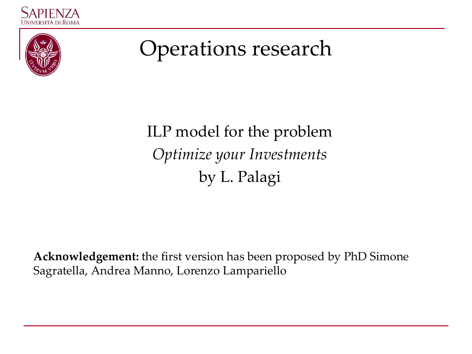



#### Operations research

ILP model for the problem *Optimize your Investments* by L. Palagi

**Acknowledgement:** the first version has been proposed by PhD Simone Sagratella, Andrea Manno, Lorenzo Lampariello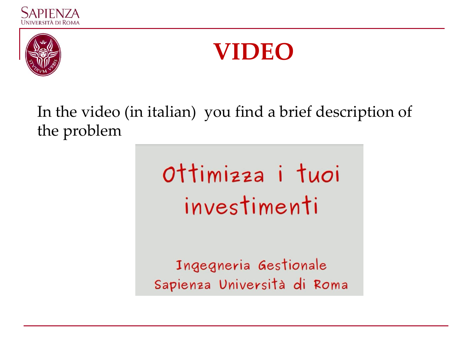



### **VIDEO**

In the video (in italian) you find a brief description of the problem

> Ottimizza i tuoi investimenti

Ingegneria Gestionale Sapienza Università di Roma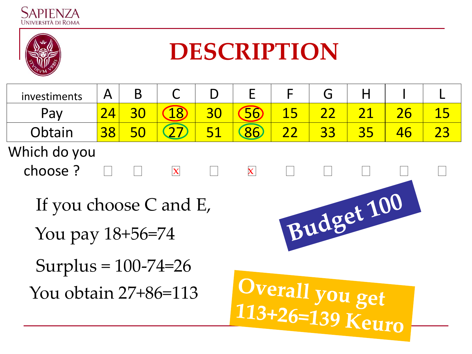



### **DESCRIPTION**

| investiments                                             | $\mathsf{A}$ | B         | $\bigcap$               | D                                   | F                      | F         | G  | Н               |    |    |  |
|----------------------------------------------------------|--------------|-----------|-------------------------|-------------------------------------|------------------------|-----------|----|-----------------|----|----|--|
| Pay                                                      | 24           | <b>30</b> | $\overline{18}$         | 30                                  | 56                     | <b>15</b> | 22 | $\overline{21}$ | 26 | 15 |  |
| Obtain                                                   | 38           | 50        | 27                      | 51                                  | 86                     | 22        | 33 | 35              | 46 | 23 |  |
| Which do you                                             |              |           |                         |                                     |                        |           |    |                 |    |    |  |
| choose?                                                  |              |           | $\overline{\mathbf{x}}$ |                                     | $\vert\mathsf{X}\vert$ |           |    |                 |    |    |  |
| Budget 100<br>If you choose C and E,<br>You pay 18+56=74 |              |           |                         |                                     |                        |           |    |                 |    |    |  |
| Surplus = $100-74=26$                                    |              |           |                         |                                     |                        |           |    |                 |    |    |  |
| You obtain 27+86=113                                     |              |           |                         | Overall you get<br>113+26=139 Keuro |                        |           |    |                 |    |    |  |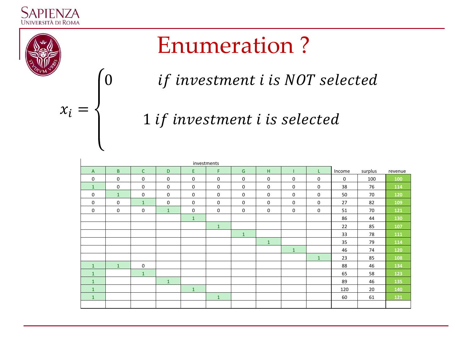

 $x_i = \langle$ 

### Enumeration ?

0 if investment i is NOT selected

1 if investment i is selected

| investments    |              |              |              |              |              |              |              |              |              |             |         |         |
|----------------|--------------|--------------|--------------|--------------|--------------|--------------|--------------|--------------|--------------|-------------|---------|---------|
| $\overline{A}$ | B.           | $\mathsf{C}$ | D            | E.           | F            | G            | H            |              | L            | Income      | surplus | revenue |
| $\mathbf 0$    | $\mathbf 0$  | $\mathbf 0$  | $\mathbf 0$  | $\mathbf 0$  | $\mathbf 0$  | $\mathbf 0$  | $\mathbf 0$  | $\mathbf 0$  | $\mathbf 0$  | $\mathbf 0$ | 100     | 100     |
| $\mathbf{1}$   | $\mathbf 0$  | $\mathbf 0$  | $\mathbf 0$  | $\mathbf 0$  | $\mathbf 0$  | 0            | $\mathbf 0$  | $\mathbf 0$  | $\mathbf 0$  | 38          | 76      | 114     |
| $\mathbf 0$    | $\mathbf{1}$ | 0            | $\mathbf 0$  | $\mathbf 0$  | $\mathbf 0$  | 0            | $\Omega$     | $\mathbf 0$  | $\mathbf 0$  | 50          | 70      | 120     |
| $\mathbf 0$    | 0            | $\mathbf{1}$ | $\mathbf 0$  | $\mathbf 0$  | $\mathbf 0$  | 0            | $\mathbf 0$  | $\mathbf 0$  | $\mathbf 0$  | 27          | 82      | 109     |
| $\mathbf 0$    | $\mathbf 0$  | $\mathbf 0$  | $\mathbf{1}$ | $\mathbf 0$  | $\mathbf 0$  | $\mathbf 0$  | $\mathbf 0$  | $\mathbf 0$  | $\mathbf 0$  | 51          | 70      | 121     |
|                |              |              |              | $\mathbf{1}$ |              |              |              |              |              | 86          | 44      | 130     |
|                |              |              |              |              | $\mathbf{1}$ |              |              |              |              | 22          | 85      | 107     |
|                |              |              |              |              |              | $\mathbf{1}$ |              |              |              | 33          | 78      | 111     |
|                |              |              |              |              |              |              | $\mathbf{1}$ |              |              | 35          | 79      | 114     |
|                |              |              |              |              |              |              |              | $\mathbf{1}$ |              | 46          | 74      | 120     |
|                |              |              |              |              |              |              |              |              | $\mathbf{1}$ | 23          | 85      | 108     |
| $\mathbf{1}$   | $\mathbf{1}$ | $\mathbf 0$  |              |              |              |              |              |              |              | 88          | 46      | 134     |
| $\mathbf{1}$   |              | $\mathbf{1}$ |              |              |              |              |              |              |              | 65          | 58      | 123     |
| $\mathbf{1}$   |              |              | $\mathbf{1}$ |              |              |              |              |              |              | 89          | 46      | 135     |
| $\mathbf{1}$   |              |              |              | $\mathbf{1}$ |              |              |              |              |              | 120         | 20      | 140     |
| $\mathbf{1}$   |              |              |              |              | $\mathbf{1}$ |              |              |              |              | 60          | 61      | 121     |
|                |              |              |              |              |              |              |              |              |              |             |         |         |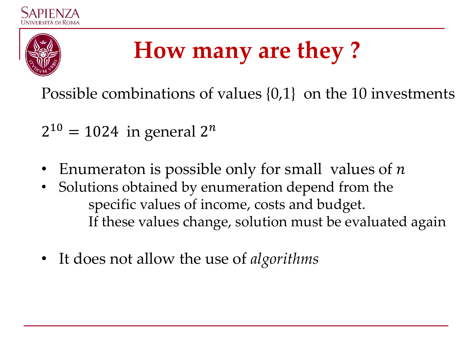



# **How many are they ?**

Possible combinations of values {0,1} on the 10 investments

 $2^{10} = 1024$  in general  $2^n$ 

- Enumeraton is possible only for small values of  $n$
- Solutions obtained by enumeration depend from the specific values of income, costs and budget. If these values change, solution must be evaluated again
- It does not allow the use of *algorithms*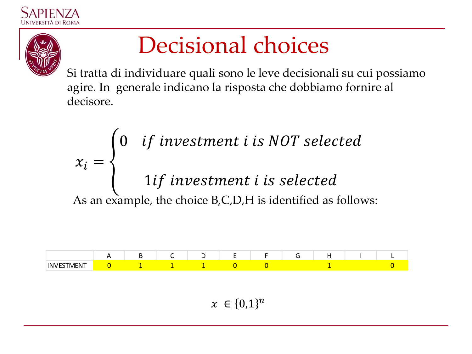



### Decisional choices

Si tratta di individuare quali sono le leve decisionali su cui possiamo agire. In generale indicano la risposta che dobbiamo fornire al decisore.

$$
x_i = \begin{cases} 0 & \text{if investment } i \text{ is NOT selected} \\ & \text{if investment } i \text{ is selected} \end{cases}
$$

As an example, the choice B,C,D,H is identified as follows:



 $x \in \{0,1\}^n$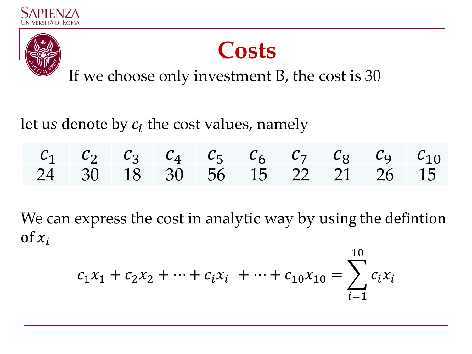





If we choose only investment B, the cost is 30

let us denote by  $c_i$  the cost values, namely

| $c_1$ $c_2$ $c_3$ $c_4$ $c_5$ $c_6$ $c_7$ $c_8$ $c_9$ $c_{10}$ |  |  |  |  |  |
|----------------------------------------------------------------|--|--|--|--|--|
| 24 30 18 30 56 15 22 21 26 15                                  |  |  |  |  |  |

We can express the cost in analytic way by using the defintion of  $x_i$ 

$$
c_1 x_1 + c_2 x_2 + \dots + c_i x_i + \dots + c_{10} x_{10} = \sum_{i=1}^{10} c_i x_i
$$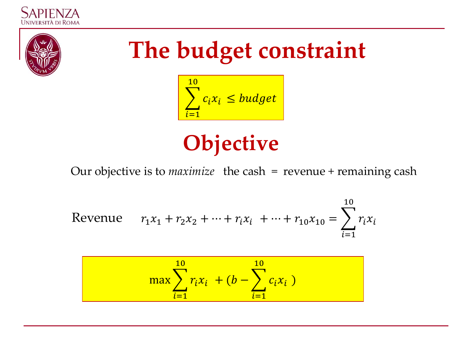



## **The budget constraint**



### **Objective**

Our objective is to *maximize* the cash = revenue + remaining cash

$$
\text{Revenue} \qquad r_1 x_1 + r_2 x_2 + \dots + r_i x_i + \dots + r_{10} x_{10} = \sum_{i=1}^{10} r_i x_i
$$

$$
\max \sum_{i=1}^{10} r_i x_i + (b - \sum_{i=1}^{10} c_i x_i)
$$